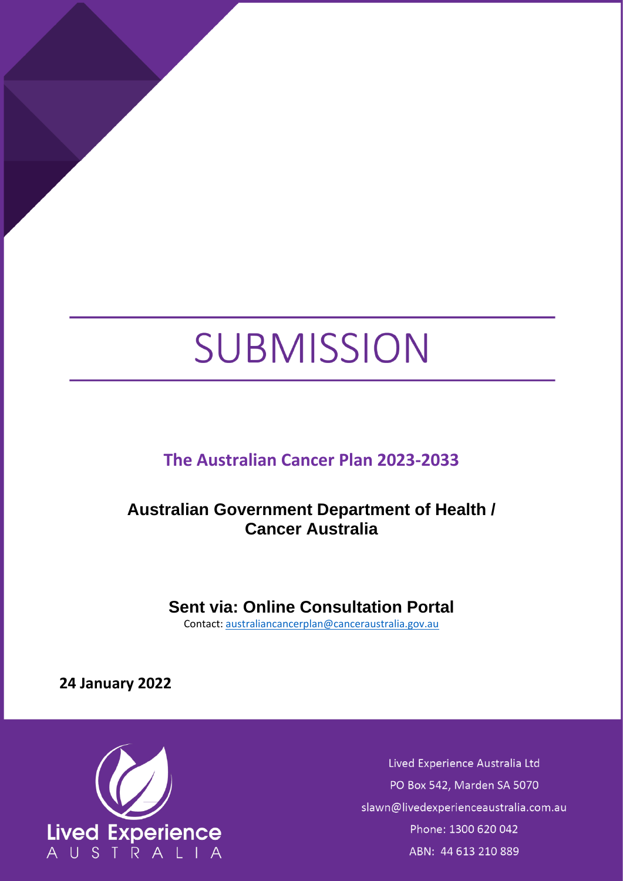# SUBMISSION

# **The Australian Cancer Plan 2023-2033**

# <span id="page-0-0"></span>**Australian Government Department of Health / Cancer Australia**

## **Sent via: Online Consultation Portal**

Contact: [australiancancerplan@canceraustralia.gov.au](mailto:australiancancerplan@canceraustralia.gov.au)

**24 January 2022**



Lived Experience Australia Ltd PO Box 542, Marden SA 5070 slawn@livedexperienceaustralia.com.au Phone: 1300 620 042 ABN: 44 613 210 889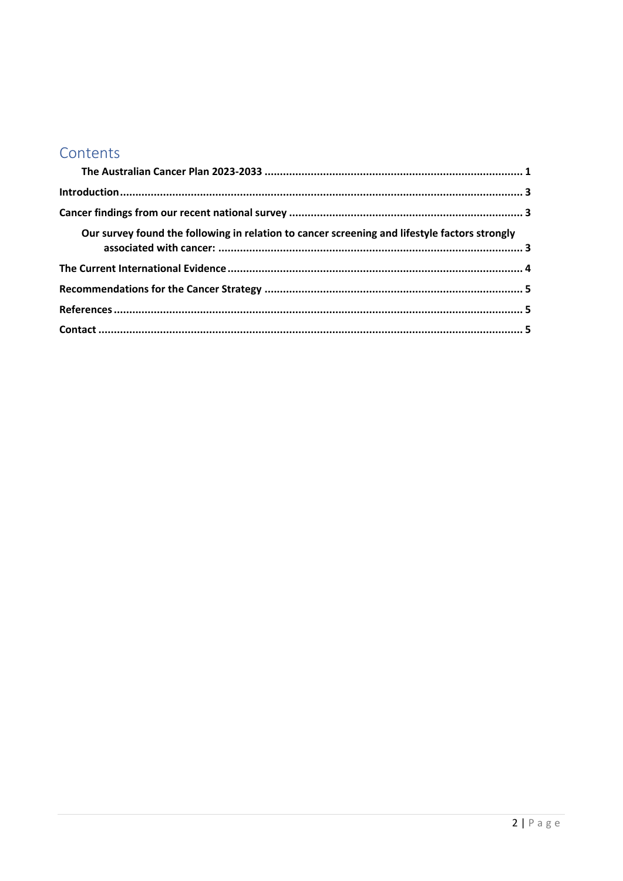## Contents

| Our survey found the following in relation to cancer screening and lifestyle factors strongly |  |
|-----------------------------------------------------------------------------------------------|--|
|                                                                                               |  |
|                                                                                               |  |
|                                                                                               |  |
|                                                                                               |  |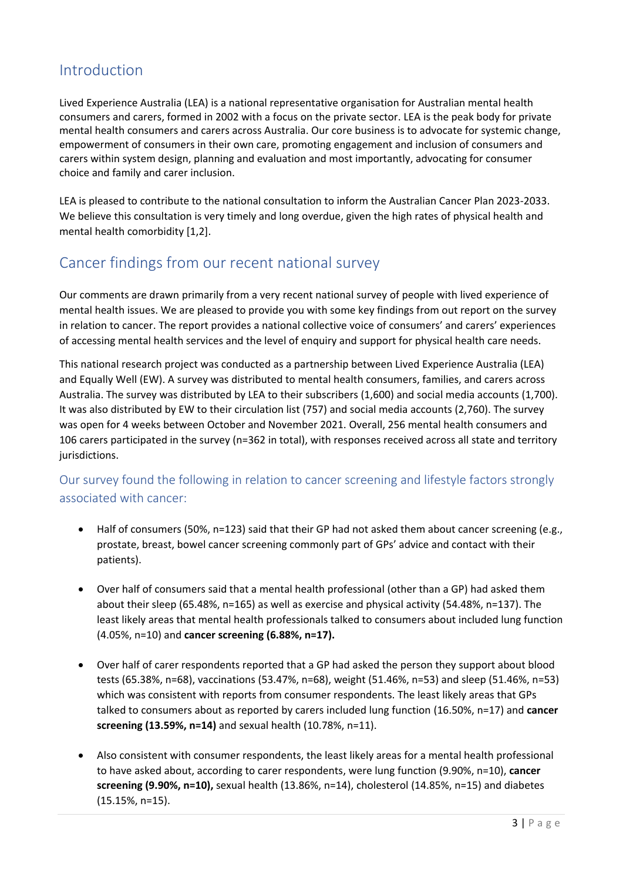### <span id="page-2-0"></span>Introduction

Lived Experience Australia (LEA) is a national representative organisation for Australian mental health consumers and carers, formed in 2002 with a focus on the private sector. LEA is the peak body for private mental health consumers and carers across Australia. Our core business is to advocate for systemic change, empowerment of consumers in their own care, promoting engagement and inclusion of consumers and carers within system design, planning and evaluation and most importantly, advocating for consumer choice and family and carer inclusion.

LEA is pleased to contribute to the national consultation to inform the Australian Cancer Plan 2023-2033. We believe this consultation is very timely and long overdue, given the high rates of physical health and mental health comorbidity [1,2].

#### <span id="page-2-1"></span>Cancer findings from our recent national survey

Our comments are drawn primarily from a very recent national survey of people with lived experience of mental health issues. We are pleased to provide you with some key findings from out report on the survey in relation to cancer. The report provides a national collective voice of consumers' and carers' experiences of accessing mental health services and the level of enquiry and support for physical health care needs.

This national research project was conducted as a partnership between Lived Experience Australia (LEA) and Equally Well (EW). A survey was distributed to mental health consumers, families, and carers across Australia. The survey was distributed by LEA to their subscribers (1,600) and social media accounts (1,700). It was also distributed by EW to their circulation list (757) and social media accounts (2,760). The survey was open for 4 weeks between October and November 2021. Overall, 256 mental health consumers and 106 carers participated in the survey (n=362 in total), with responses received across all state and territory jurisdictions.

#### <span id="page-2-2"></span>Our survey found the following in relation to cancer screening and lifestyle factors strongly associated with cancer:

- Half of consumers (50%, n=123) said that their GP had not asked them about cancer screening (e.g., prostate, breast, bowel cancer screening commonly part of GPs' advice and contact with their patients).
- Over half of consumers said that a mental health professional (other than a GP) had asked them about their sleep (65.48%, n=165) as well as exercise and physical activity (54.48%, n=137). The least likely areas that mental health professionals talked to consumers about included lung function (4.05%, n=10) and **cancer screening (6.88%, n=17).**
- Over half of carer respondents reported that a GP had asked the person they support about blood tests (65.38%, n=68), vaccinations (53.47%, n=68), weight (51.46%, n=53) and sleep (51.46%, n=53) which was consistent with reports from consumer respondents. The least likely areas that GPs talked to consumers about as reported by carers included lung function (16.50%, n=17) and **cancer screening (13.59%, n=14)** and sexual health (10.78%, n=11).
- Also consistent with consumer respondents, the least likely areas for a mental health professional to have asked about, according to carer respondents, were lung function (9.90%, n=10), **cancer screening (9.90%, n=10),** sexual health (13.86%, n=14), cholesterol (14.85%, n=15) and diabetes (15.15%, n=15).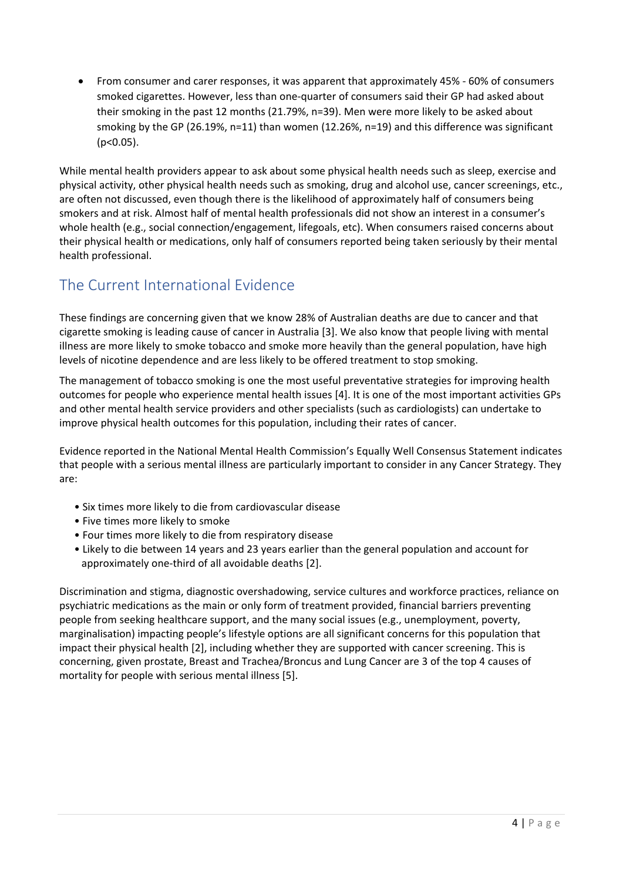• From consumer and carer responses, it was apparent that approximately 45% - 60% of consumers smoked cigarettes. However, less than one-quarter of consumers said their GP had asked about their smoking in the past 12 months (21.79%, n=39). Men were more likely to be asked about smoking by the GP (26.19%, n=11) than women (12.26%, n=19) and this difference was significant  $(p<0.05)$ .

While mental health providers appear to ask about some physical health needs such as sleep, exercise and physical activity, other physical health needs such as smoking, drug and alcohol use, cancer screenings, etc., are often not discussed, even though there is the likelihood of approximately half of consumers being smokers and at risk. Almost half of mental health professionals did not show an interest in a consumer's whole health (e.g., social connection/engagement, lifegoals, etc). When consumers raised concerns about their physical health or medications, only half of consumers reported being taken seriously by their mental health professional.

## <span id="page-3-0"></span>The Current International Evidence

These findings are concerning given that we know 28% of Australian deaths are due to cancer and that cigarette smoking is leading cause of cancer in Australia [3]. We also know that people living with mental illness are more likely to smoke tobacco and smoke more heavily than the general population, have high levels of nicotine dependence and are less likely to be offered treatment to stop smoking.

The management of tobacco smoking is one the most useful preventative strategies for improving health outcomes for people who experience mental health issues [4]. It is one of the most important activities GPs and other mental health service providers and other specialists (such as cardiologists) can undertake to improve physical health outcomes for this population, including their rates of cancer.

Evidence reported in the National Mental Health Commission's Equally Well Consensus Statement indicates that people with a serious mental illness are particularly important to consider in any Cancer Strategy. They are:

- Six times more likely to die from cardiovascular disease
- Five times more likely to smoke
- Four times more likely to die from respiratory disease
- Likely to die between 14 years and 23 years earlier than the general population and account for approximately one-third of all avoidable deaths [2].

Discrimination and stigma, diagnostic overshadowing, service cultures and workforce practices, reliance on psychiatric medications as the main or only form of treatment provided, financial barriers preventing people from seeking healthcare support, and the many social issues (e.g., unemployment, poverty, marginalisation) impacting people's lifestyle options are all significant concerns for this population that impact their physical health [2], including whether they are supported with cancer screening. This is concerning, given prostate, Breast and Trachea/Broncus and Lung Cancer are 3 of the top 4 causes of mortality for people with serious mental illness [5].